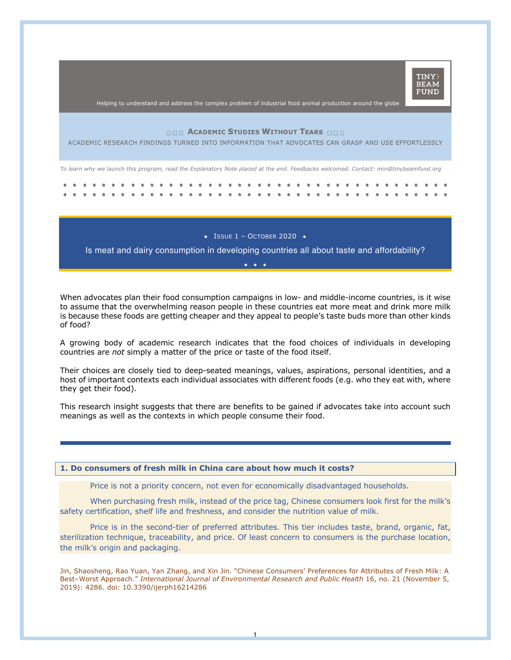

Helping to understand and address the complex problem of industrial food animal production around the globe

## **ACADEMIC STUDIES WITHOUT TEARS**

ACADEMIC RESEARCH FINDINGS TURNED INTO INFORMATION THAT ADVOCATES CAN GRASP AND USE EFFORTLESSLY

*To learn why we launch this program, read the Explanatory Note placed at the end. Feedbacks welcomed. Contact: min@tinybeamfund.org* 

 $\bullet$  ISSUE 1 – OCTOBER 2020  $\bullet$ 

Is meat and dairy consumption in developing countries all about taste and affordability? •••

When advocates plan their food consumption campaigns in low- and middle-income countries, is it wise to assume that the overwhelming reason people in these countries eat more meat and drink more milk is because these foods are getting cheaper and they appeal to people's taste buds more than other kinds of food?

A growing body of academic research indicates that the food choices of individuals in developing countries are *not* simply a matter of the price or taste of the food itself.

Their choices are closely tied to deep-seated meanings, values, aspirations, personal identities, and a host of important contexts each individual associates with different foods (e.g. who they eat with, where they get their food).

This research insight suggests that there are benefits to be gained if advocates take into account such meanings as well as the contexts in which people consume their food.

### **1. Do consumers of fresh milk in China care about how much it costs?**

Price is not a priority concern, not even for economically disadvantaged households.

When purchasing fresh milk, instead of the price tag, Chinese consumers look first for the milk's safety certification, shelf life and freshness, and consider the nutrition value of milk.

Price is in the second-tier of preferred attributes. This tier includes taste, brand, organic, fat, sterilization technique, traceability, and price. Of least concern to consumers is the purchase location, the milk's origin and packaging.

Jin, Shaosheng, Rao Yuan, Yan Zhang, and Xin Jin. "Chinese Consumers' Preferences for Attributes of Fresh Milk: A Best–Worst Approach." *International Journal of Environmental Research and Public Health* 16, no. 21 (November 5, 2019): 4286. doi: 10.3390/ijerph16214286

1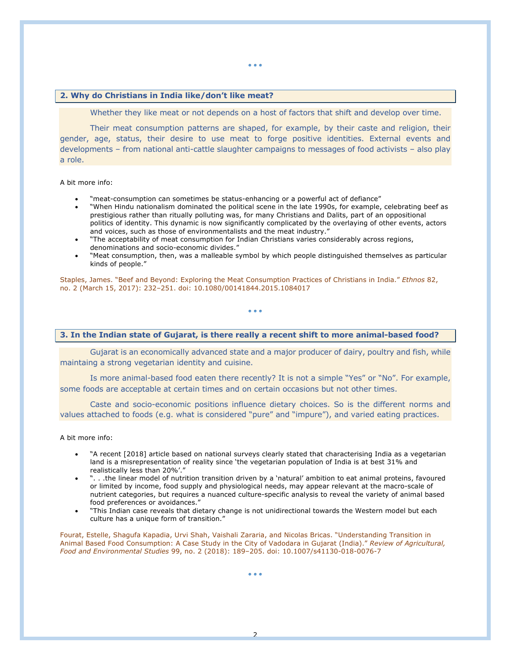## **2. Why do Christians in India like/don't like meat?**

Whether they like meat or not depends on a host of factors that shift and develop over time.

Their meat consumption patterns are shaped, for example, by their caste and religion, their gender, age, status, their desire to use meat to forge positive identities. External events and developments – from national anti-cattle slaughter campaigns to messages of food activists – also play a role.

A bit more info:

- "meat-consumption can sometimes be status-enhancing or a powerful act of defiance"
- "When Hindu nationalism dominated the political scene in the late 1990s, for example, celebrating beef as prestigious rather than ritually polluting was, for many Christians and Dalits, part of an oppositional politics of identity. This dynamic is now significantly complicated by the overlaying of other events, actors and voices, such as those of environmentalists and the meat industry."
- "The acceptability of meat consumption for Indian Christians varies considerably across regions, denominations and socio-economic divides."
- "Meat consumption, then, was a malleable symbol by which people distinguished themselves as particular kinds of people."

Staples, James. "Beef and Beyond: Exploring the Meat Consumption Practices of Christians in India." *Ethnos* 82, no. 2 (March 15, 2017): 232–251. doi: 10.1080/00141844.2015.1084017

• • •

## **3. In the Indian state of Gujarat, is there really a recent shift to more animal-based food?**

Gujarat is an economically advanced state and a major producer of dairy, poultry and fish, while maintaing a strong vegetarian identity and cuisine.

Is more animal-based food eaten there recently? It is not a simple "Yes" or "No". For example, some foods are acceptable at certain times and on certain occasions but not other times.

Caste and socio-economic positions influence dietary choices. So is the different norms and values attached to foods (e.g. what is considered "pure" and "impure"), and varied eating practices.

A bit more info:

- "A recent [2018] article based on national surveys clearly stated that characterising India as a vegetarian land is a misrepresentation of reality since 'the vegetarian population of India is at best 31% and realistically less than 20%'."
- ". . .the linear model of nutrition transition driven by a 'natural' ambition to eat animal proteins, favoured or limited by income, food supply and physiological needs, may appear relevant at the macro-scale of nutrient categories, but requires a nuanced culture-specific analysis to reveal the variety of animal based food preferences or avoidances."
- "This Indian case reveals that dietary change is not unidirectional towards the Western model but each culture has a unique form of transition."

Fourat, Estelle, Shagufa Kapadia, Urvi Shah, Vaishali Zararia, and Nicolas Bricas. "Understanding Transition in Animal Based Food Consumption: A Case Study in the City of Vadodara in Gujarat (India)." *Review of Agricultural, Food and Environmental Studies* 99, no. 2 (2018): 189–205. doi: 10.1007/s41130-018-0076-7

2

• • •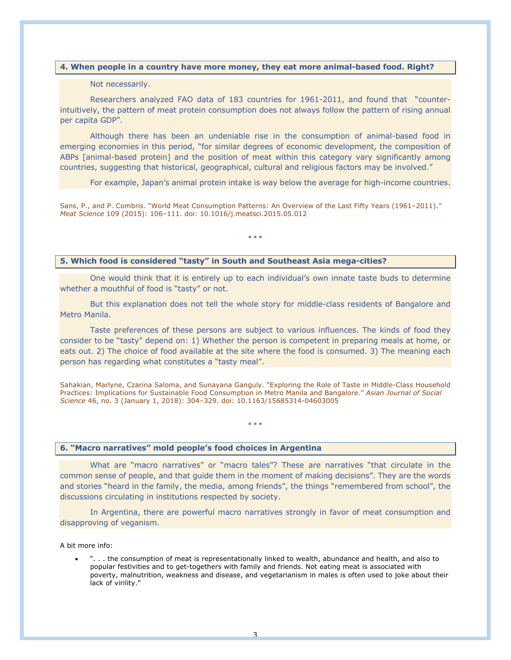# **4. When people in a country have more money, they eat more animal-based food. Right?**

## Not necessarily.

Researchers analyzed FAO data of 183 countries for 1961-2011, and found that "counterintuitively, the pattern of meat protein consumption does not always follow the pattern of rising annual per capita GDP".

Although there has been an undeniable rise in the consumption of animal-based food in emerging economies in this period, "for similar degrees of economic development, the composition of ABPs [animal-based protein] and the position of meat within this category vary significantly among countries, suggesting that historical, geographical, cultural and religious factors may be involved."

For example, Japan's animal protein intake is way below the average for high-income countries.

Sans, P., and P. Combris. "World Meat Consumption Patterns: An Overview of the Last Fifty Years (1961–2011)." *Meat Science* 109 (2015): 106–111. doi: 10.1016/j.meatsci.2015.05.012

#### • • •

# **5. Which food is considered "tasty" in South and Southeast Asia mega-cities?**

One would think that it is entirely up to each individual's own innate taste buds to determine whether a mouthful of food is "tasty" or not.

But this explanation does not tell the whole story for middle-class residents of Bangalore and Metro Manila.

Taste preferences of these persons are subject to various influences. The kinds of food they consider to be "tasty" depend on: 1) Whether the person is competent in preparing meals at home, or eats out. 2) The choice of food available at the site where the food is consumed. 3) The meaning each person has regarding what constitutes a "tasty meal".

Sahakian, Marlyne, Czarina Saloma, and Sunayana Ganguly. "Exploring the Role of Taste in Middle-Class Household Practices: Implications for Sustainable Food Consumption in Metro Manila and Bangalore." *Asian Journal of Social Science* 46, no. 3 (January 1, 2018): 304–329. doi: 10.1163/15685314-04603005

• • •

### **6. "Macro narratives" mold people's food choices in Argentina**

What are "macro narratives" or "macro tales"? These are narratives "that circulate in the common sense of people, and that guide them in the moment of making decisions". They are the words and stories "heard in the family, the media, among friends", the things "remembered from school", the discussions circulating in institutions respected by society.

In Argentina, there are powerful macro narratives strongly in favor of meat consumption and disapproving of veganism.

A bit more info:

• ". . . the consumption of meat is representationally linked to wealth, abundance and health, and also to popular festivities and to get-togethers with family and friends. Not eating meat is associated with poverty, malnutrition, weakness and disease, and vegetarianism in males is often used to joke about their lack of virility."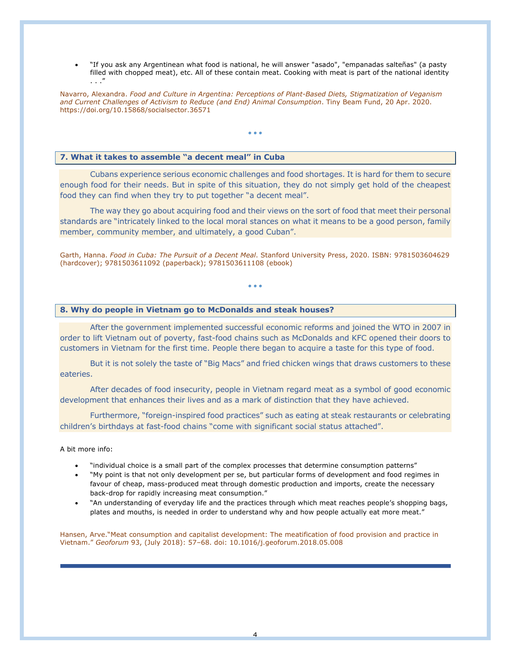• "If you ask any Argentinean what food is national, he will answer "asado", "empanadas salteñas" (a pasty filled with chopped meat), etc. All of these contain meat. Cooking with meat is part of the national identity . . ."

Navarro, Alexandra. *Food and Culture in Argentina: Perceptions of Plant-Based Diets, Stigmatization of Veganism and Current Challenges of Activism to Reduce (and End) Animal Consumption*. Tiny Beam Fund, 20 Apr. 2020. https://doi.org/10.15868/socialsector.36571

• • •

## **7. What it takes to assemble "a decent meal" in Cuba**

Cubans experience serious economic challenges and food shortages. It is hard for them to secure enough food for their needs. But in spite of this situation, they do not simply get hold of the cheapest food they can find when they try to put together "a decent meal".

The way they go about acquiring food and their views on the sort of food that meet their personal standards are "intricately linked to the local moral stances on what it means to be a good person, family member, community member, and ultimately, a good Cuban".

Garth, Hanna. *Food in Cuba: The Pursuit of a Decent Meal*. Stanford University Press, 2020. ISBN: 9781503604629 (hardcover); 9781503611092 (paperback); 9781503611108 (ebook)

• • •

### **8. Why do people in Vietnam go to McDonalds and steak houses?**

After the government implemented successful economic reforms and joined the WTO in 2007 in order to lift Vietnam out of poverty, fast-food chains such as McDonalds and KFC opened their doors to customers in Vietnam for the first time. People there began to acquire a taste for this type of food.

But it is not solely the taste of "Big Macs" and fried chicken wings that draws customers to these eateries.

After decades of food insecurity, people in Vietnam regard meat as a symbol of good economic development that enhances their lives and as a mark of distinction that they have achieved.

Furthermore, "foreign-inspired food practices" such as eating at steak restaurants or celebrating children's birthdays at fast-food chains "come with significant social status attached".

### A bit more info:

- "individual choice is a small part of the complex processes that determine consumption patterns"
- "My point is that not only development per se, but particular forms of development and food regimes in favour of cheap, mass-produced meat through domestic production and imports, create the necessary back-drop for rapidly increasing meat consumption."
- "An understanding of everyday life and the practices through which meat reaches people's shopping bags, plates and mouths, is needed in order to understand why and how people actually eat more meat."

Hansen, Arve."Meat consumption and capitalist development: The meatification of food provision and practice in Vietnam." *Geoforum* 93, (July 2018): 57–68. doi: 10.1016/j.geoforum.2018.05.008